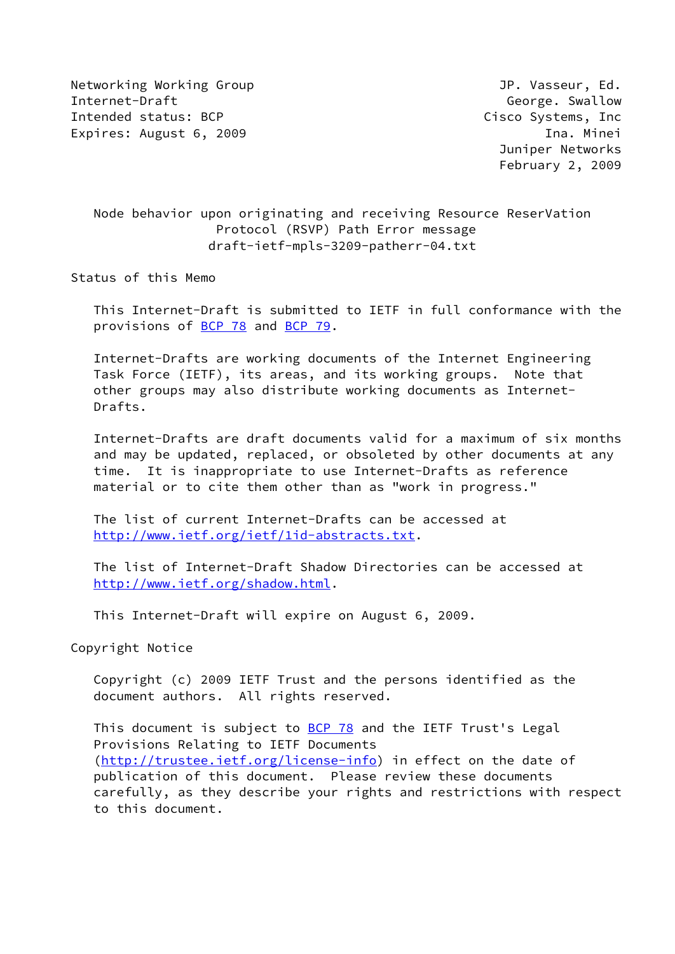Networking Working Group **Group Accompany** JP. Vasseur, Ed. Internet-Draft George. Swallow Intended status: BCP and the cisco Systems, Inc. Expires: August 6, 2009 **Ina.** Minei

 Juniper Networks February 2, 2009

# Node behavior upon originating and receiving Resource ReserVation Protocol (RSVP) Path Error message draft-ietf-mpls-3209-patherr-04.txt

Status of this Memo

 This Internet-Draft is submitted to IETF in full conformance with the provisions of [BCP 78](https://datatracker.ietf.org/doc/pdf/bcp78) and [BCP 79](https://datatracker.ietf.org/doc/pdf/bcp79).

 Internet-Drafts are working documents of the Internet Engineering Task Force (IETF), its areas, and its working groups. Note that other groups may also distribute working documents as Internet- Drafts.

 Internet-Drafts are draft documents valid for a maximum of six months and may be updated, replaced, or obsoleted by other documents at any time. It is inappropriate to use Internet-Drafts as reference material or to cite them other than as "work in progress."

 The list of current Internet-Drafts can be accessed at <http://www.ietf.org/ietf/1id-abstracts.txt>.

 The list of Internet-Draft Shadow Directories can be accessed at <http://www.ietf.org/shadow.html>.

This Internet-Draft will expire on August 6, 2009.

Copyright Notice

 Copyright (c) 2009 IETF Trust and the persons identified as the document authors. All rights reserved.

This document is subject to **[BCP 78](https://datatracker.ietf.org/doc/pdf/bcp78)** and the IETF Trust's Legal Provisions Relating to IETF Documents [\(http://trustee.ietf.org/license-info](http://trustee.ietf.org/license-info)) in effect on the date of publication of this document. Please review these documents carefully, as they describe your rights and restrictions with respect to this document.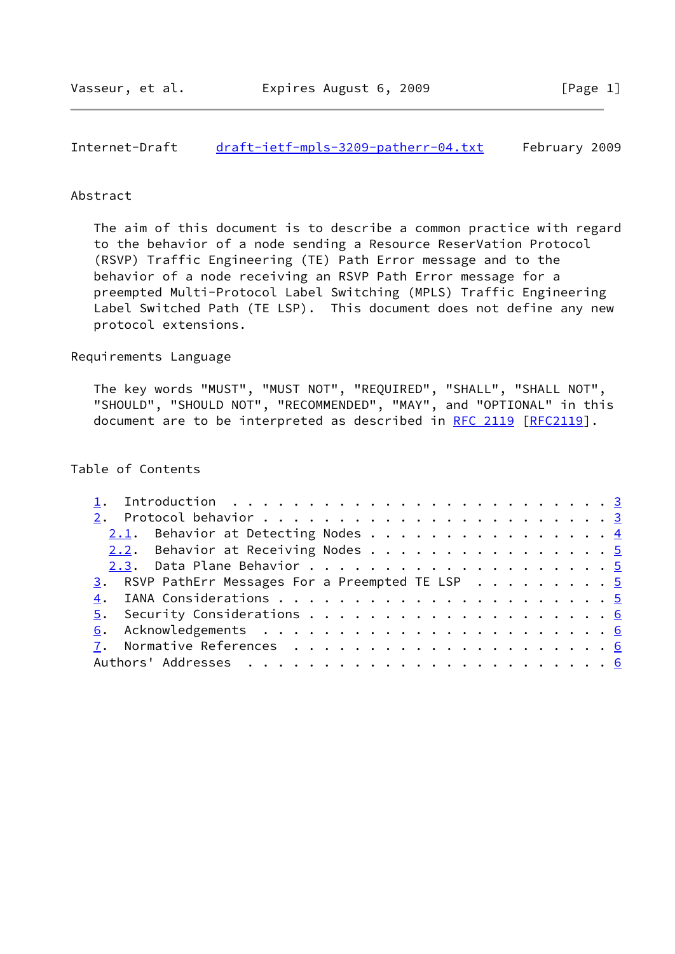## Internet-Draft [draft-ietf-mpls-3209-patherr-04.txt](https://datatracker.ietf.org/doc/pdf/draft-ietf-mpls-3209-patherr-04.txt) February 2009

### Abstract

 The aim of this document is to describe a common practice with regard to the behavior of a node sending a Resource ReserVation Protocol (RSVP) Traffic Engineering (TE) Path Error message and to the behavior of a node receiving an RSVP Path Error message for a preempted Multi-Protocol Label Switching (MPLS) Traffic Engineering Label Switched Path (TE LSP). This document does not define any new protocol extensions.

#### Requirements Language

 The key words "MUST", "MUST NOT", "REQUIRED", "SHALL", "SHALL NOT", "SHOULD", "SHOULD NOT", "RECOMMENDED", "MAY", and "OPTIONAL" in this document are to be interpreted as described in [RFC 2119 \[RFC2119](https://datatracker.ietf.org/doc/pdf/rfc2119)].

### Table of Contents

| 1. Introduction $\ldots \ldots \ldots \ldots \ldots \ldots \ldots \ldots \ldots \ldots$ |  |
|-----------------------------------------------------------------------------------------|--|
|                                                                                         |  |
| 2.1. Behavior at Detecting Nodes 4                                                      |  |
| 2.2. Behavior at Receiving Nodes 5                                                      |  |
|                                                                                         |  |
| 3. RSVP PathErr Messages For a Preempted TE LSP 5                                       |  |
|                                                                                         |  |
|                                                                                         |  |
|                                                                                         |  |
|                                                                                         |  |
|                                                                                         |  |
|                                                                                         |  |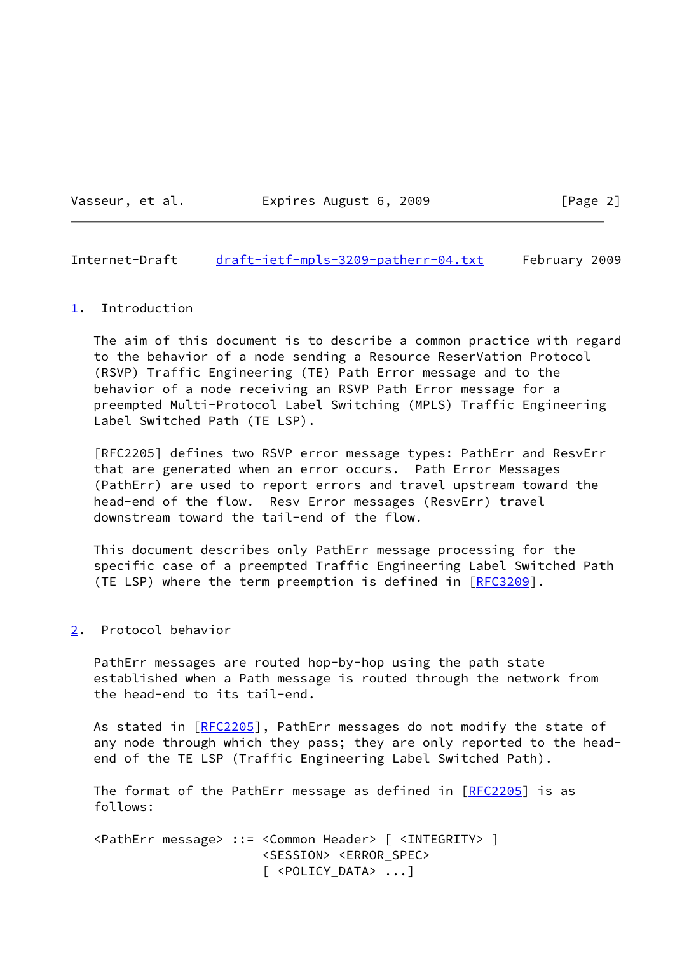Vasseur, et al. **Expires August 6, 2009** [Page 2]

<span id="page-2-1"></span>Internet-Draft [draft-ietf-mpls-3209-patherr-04.txt](https://datatracker.ietf.org/doc/pdf/draft-ietf-mpls-3209-patherr-04.txt) February 2009

### <span id="page-2-0"></span>[1](#page-2-0). Introduction

 The aim of this document is to describe a common practice with regard to the behavior of a node sending a Resource ReserVation Protocol (RSVP) Traffic Engineering (TE) Path Error message and to the behavior of a node receiving an RSVP Path Error message for a preempted Multi-Protocol Label Switching (MPLS) Traffic Engineering Label Switched Path (TE LSP).

 [RFC2205] defines two RSVP error message types: PathErr and ResvErr that are generated when an error occurs. Path Error Messages (PathErr) are used to report errors and travel upstream toward the head-end of the flow. Resv Error messages (ResvErr) travel downstream toward the tail-end of the flow.

 This document describes only PathErr message processing for the specific case of a preempted Traffic Engineering Label Switched Path (TE LSP) where the term preemption is defined in [\[RFC3209](https://datatracker.ietf.org/doc/pdf/rfc3209)].

# <span id="page-2-2"></span>[2](#page-2-2). Protocol behavior

 PathErr messages are routed hop-by-hop using the path state established when a Path message is routed through the network from the head-end to its tail-end.

As stated in [\[RFC2205](https://datatracker.ietf.org/doc/pdf/rfc2205)], PathErr messages do not modify the state of any node through which they pass; they are only reported to the head end of the TE LSP (Traffic Engineering Label Switched Path).

The format of the PathErr message as defined in  $[REC2205]$  is as follows:

 <PathErr message> ::= <Common Header> [ <INTEGRITY> ] <SESSION> <ERROR\_SPEC> [ <POLICY\_DATA> ...]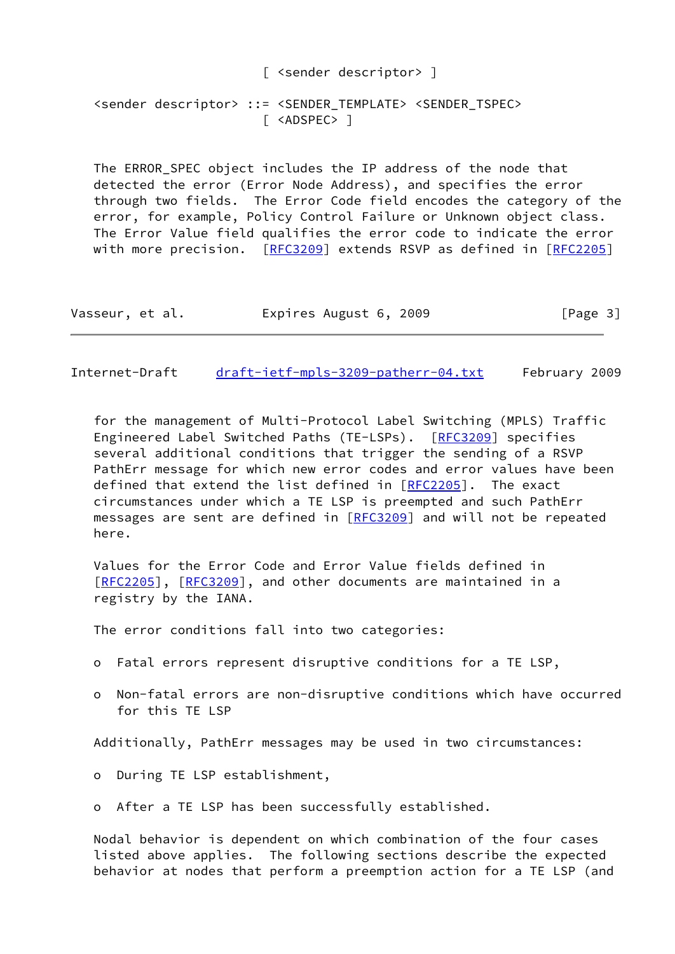[ <sender descriptor> ] <sender descriptor> ::= <SENDER TEMPLATE> <SENDER TSPEC> [ <ADSPEC> ]

The ERROR SPEC object includes the IP address of the node that detected the error (Error Node Address), and specifies the error through two fields. The Error Code field encodes the category of the error, for example, Policy Control Failure or Unknown object class. The Error Value field qualifies the error code to indicate the error with more precision.  $[REC3209]$  extends RSVP as defined in  $[REC2205]$ 

| Vasseur, et al. | Expires August 6, 2009 | [Page 3] |
|-----------------|------------------------|----------|
|-----------------|------------------------|----------|

<span id="page-3-0"></span>Internet-Draft [draft-ietf-mpls-3209-patherr-04.txt](https://datatracker.ietf.org/doc/pdf/draft-ietf-mpls-3209-patherr-04.txt) February 2009

 for the management of Multi-Protocol Label Switching (MPLS) Traffic Engineered Label Switched Paths (TE-LSPs). [\[RFC3209](https://datatracker.ietf.org/doc/pdf/rfc3209)] specifies several additional conditions that trigger the sending of a RSVP PathErr message for which new error codes and error values have been defined that extend the list defined in [\[RFC2205](https://datatracker.ietf.org/doc/pdf/rfc2205)]. The exact circumstances under which a TE LSP is preempted and such PathErr messages are sent are defined in [\[RFC3209](https://datatracker.ietf.org/doc/pdf/rfc3209)] and will not be repeated here.

 Values for the Error Code and Error Value fields defined in [\[RFC2205](https://datatracker.ietf.org/doc/pdf/rfc2205)], [[RFC3209\]](https://datatracker.ietf.org/doc/pdf/rfc3209), and other documents are maintained in a registry by the IANA.

The error conditions fall into two categories:

- o Fatal errors represent disruptive conditions for a TE LSP,
- o Non-fatal errors are non-disruptive conditions which have occurred for this TE LSP

Additionally, PathErr messages may be used in two circumstances:

- o During TE LSP establishment,
- o After a TE LSP has been successfully established.

 Nodal behavior is dependent on which combination of the four cases listed above applies. The following sections describe the expected behavior at nodes that perform a preemption action for a TE LSP (and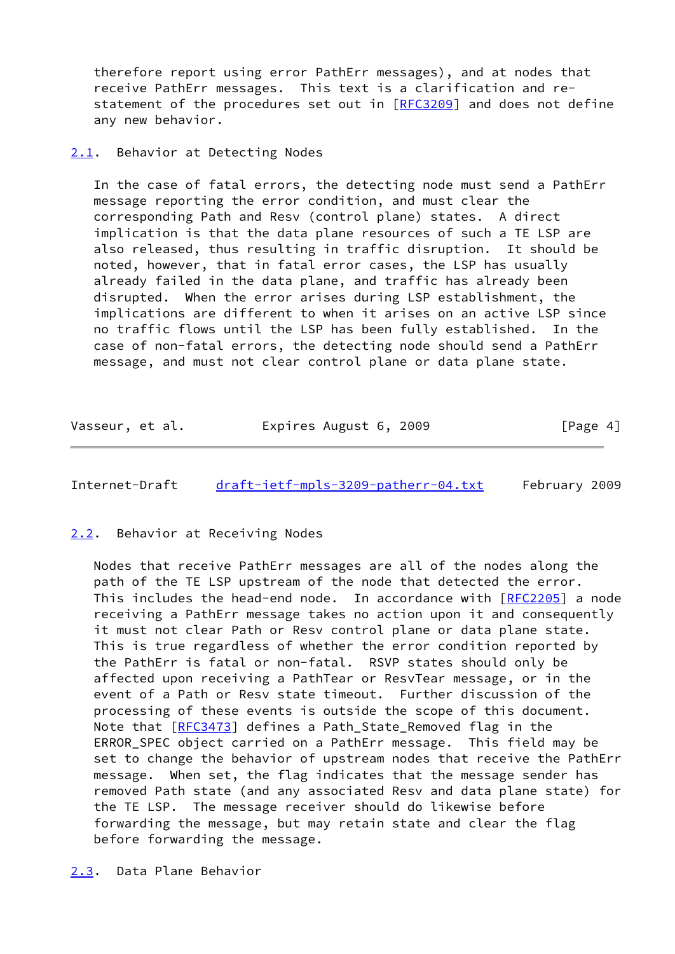therefore report using error PathErr messages), and at nodes that receive PathErr messages. This text is a clarification and re statement of the procedures set out in [\[RFC3209](https://datatracker.ietf.org/doc/pdf/rfc3209)] and does not define any new behavior.

### <span id="page-4-0"></span>[2.1](#page-4-0). Behavior at Detecting Nodes

 In the case of fatal errors, the detecting node must send a PathErr message reporting the error condition, and must clear the corresponding Path and Resv (control plane) states. A direct implication is that the data plane resources of such a TE LSP are also released, thus resulting in traffic disruption. It should be noted, however, that in fatal error cases, the LSP has usually already failed in the data plane, and traffic has already been disrupted. When the error arises during LSP establishment, the implications are different to when it arises on an active LSP since no traffic flows until the LSP has been fully established. In the case of non-fatal errors, the detecting node should send a PathErr message, and must not clear control plane or data plane state.

| Vasseur, et al. | Expires August 6, 2009 | [Page 4] |
|-----------------|------------------------|----------|
|-----------------|------------------------|----------|

<span id="page-4-2"></span>Internet-Draft [draft-ietf-mpls-3209-patherr-04.txt](https://datatracker.ietf.org/doc/pdf/draft-ietf-mpls-3209-patherr-04.txt) February 2009

### <span id="page-4-1"></span>[2.2](#page-4-1). Behavior at Receiving Nodes

 Nodes that receive PathErr messages are all of the nodes along the path of the TE LSP upstream of the node that detected the error. This includes the head-end node. In accordance with [\[RFC2205](https://datatracker.ietf.org/doc/pdf/rfc2205)] a node receiving a PathErr message takes no action upon it and consequently it must not clear Path or Resv control plane or data plane state. This is true regardless of whether the error condition reported by the PathErr is fatal or non-fatal. RSVP states should only be affected upon receiving a PathTear or ResvTear message, or in the event of a Path or Resv state timeout. Further discussion of the processing of these events is outside the scope of this document. Note that [[RFC3473](https://datatracker.ietf.org/doc/pdf/rfc3473)] defines a Path\_State\_Removed flag in the ERROR\_SPEC object carried on a PathErr message. This field may be set to change the behavior of upstream nodes that receive the PathErr message. When set, the flag indicates that the message sender has removed Path state (and any associated Resv and data plane state) for the TE LSP. The message receiver should do likewise before forwarding the message, but may retain state and clear the flag before forwarding the message.

<span id="page-4-3"></span>[2.3](#page-4-3). Data Plane Behavior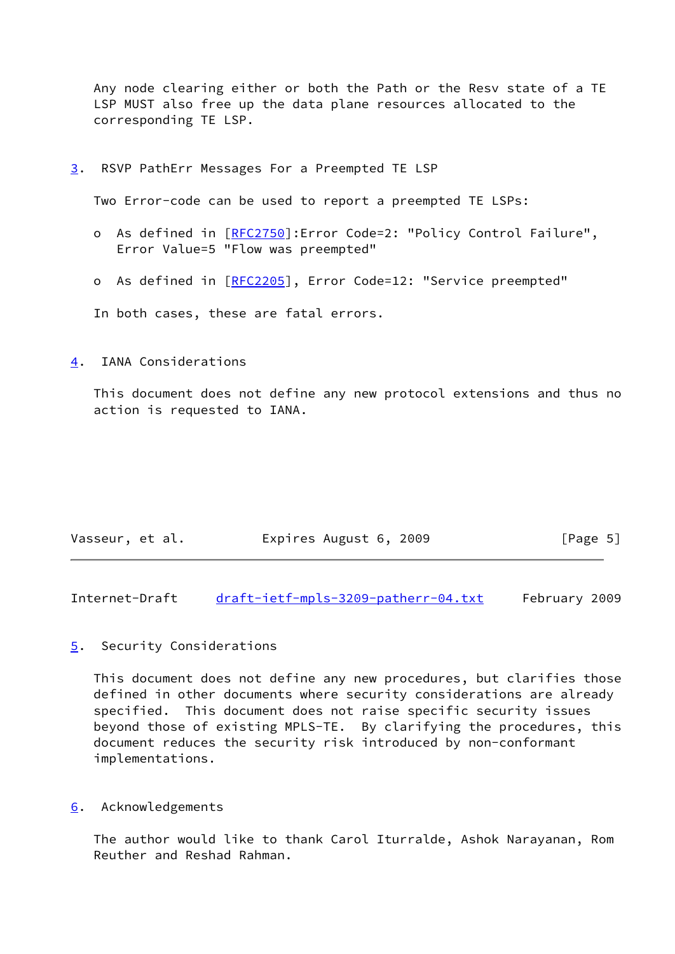Any node clearing either or both the Path or the Resv state of a TE LSP MUST also free up the data plane resources allocated to the corresponding TE LSP.

<span id="page-5-0"></span>[3](#page-5-0). RSVP PathErr Messages For a Preempted TE LSP

Two Error-code can be used to report a preempted TE LSPs:

- o As defined in [\[RFC2750](https://datatracker.ietf.org/doc/pdf/rfc2750)]:Error Code=2: "Policy Control Failure", Error Value=5 "Flow was preempted"
- o As defined in [\[RFC2205](https://datatracker.ietf.org/doc/pdf/rfc2205)], Error Code=12: "Service preempted"

In both cases, these are fatal errors.

<span id="page-5-1"></span>[4](#page-5-1). IANA Considerations

 This document does not define any new protocol extensions and thus no action is requested to IANA.

| Vasseur, et al. | Expires August 6, 2009 | [Page 5] |
|-----------------|------------------------|----------|
|-----------------|------------------------|----------|

<span id="page-5-3"></span>Internet-Draft [draft-ietf-mpls-3209-patherr-04.txt](https://datatracker.ietf.org/doc/pdf/draft-ietf-mpls-3209-patherr-04.txt) February 2009

# <span id="page-5-2"></span>[5](#page-5-2). Security Considerations

 This document does not define any new procedures, but clarifies those defined in other documents where security considerations are already specified. This document does not raise specific security issues beyond those of existing MPLS-TE. By clarifying the procedures, this document reduces the security risk introduced by non-conformant implementations.

<span id="page-5-4"></span>[6](#page-5-4). Acknowledgements

 The author would like to thank Carol Iturralde, Ashok Narayanan, Rom Reuther and Reshad Rahman.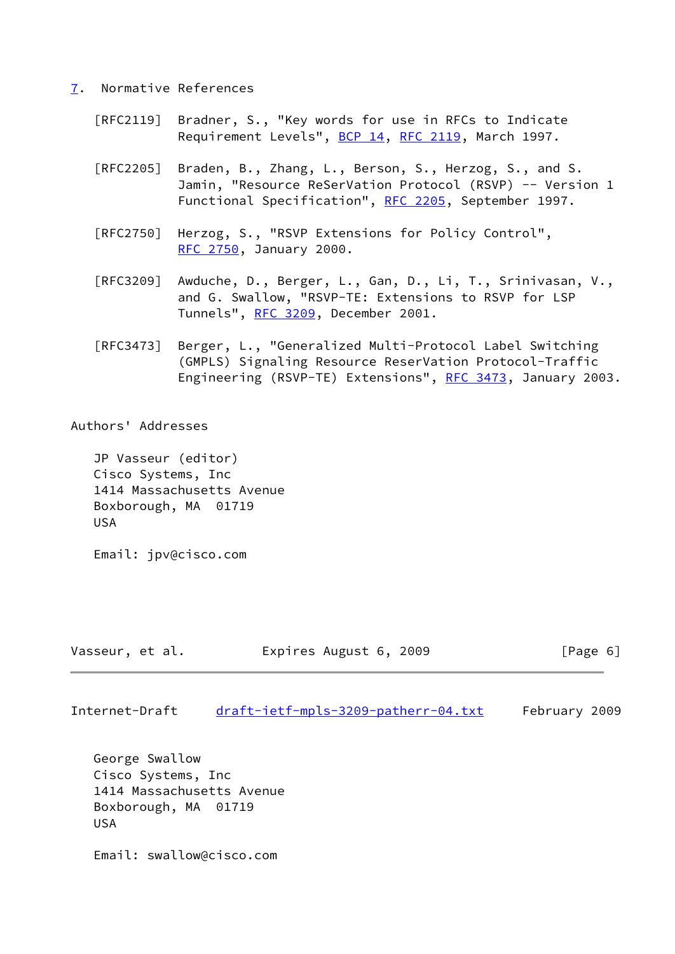### <span id="page-6-0"></span>[7](#page-6-0). Normative References

- [RFC2119] Bradner, S., "Key words for use in RFCs to Indicate Requirement Levels", [BCP 14](https://datatracker.ietf.org/doc/pdf/bcp14), [RFC 2119](https://datatracker.ietf.org/doc/pdf/rfc2119), March 1997.
- [RFC2205] Braden, B., Zhang, L., Berson, S., Herzog, S., and S. Jamin, "Resource ReSerVation Protocol (RSVP) -- Version 1 Functional Specification", [RFC 2205](https://datatracker.ietf.org/doc/pdf/rfc2205), September 1997.
- [RFC2750] Herzog, S., "RSVP Extensions for Policy Control", [RFC 2750,](https://datatracker.ietf.org/doc/pdf/rfc2750) January 2000.
- [RFC3209] Awduche, D., Berger, L., Gan, D., Li, T., Srinivasan, V., and G. Swallow, "RSVP-TE: Extensions to RSVP for LSP Tunnels", [RFC 3209](https://datatracker.ietf.org/doc/pdf/rfc3209), December 2001.
- [RFC3473] Berger, L., "Generalized Multi-Protocol Label Switching (GMPLS) Signaling Resource ReserVation Protocol-Traffic Engineering (RSVP-TE) Extensions", [RFC 3473](https://datatracker.ietf.org/doc/pdf/rfc3473), January 2003.

Authors' Addresses

 JP Vasseur (editor) Cisco Systems, Inc 1414 Massachusetts Avenue Boxborough, MA 01719 USA

Email: jpv@cisco.com

| Vasseur, et al. | Expires August 6, 2009 | [Page 6] |
|-----------------|------------------------|----------|
|-----------------|------------------------|----------|

Internet-Draft [draft-ietf-mpls-3209-patherr-04.txt](https://datatracker.ietf.org/doc/pdf/draft-ietf-mpls-3209-patherr-04.txt) February 2009

 George Swallow Cisco Systems, Inc 1414 Massachusetts Avenue Boxborough, MA 01719 USA

Email: swallow@cisco.com